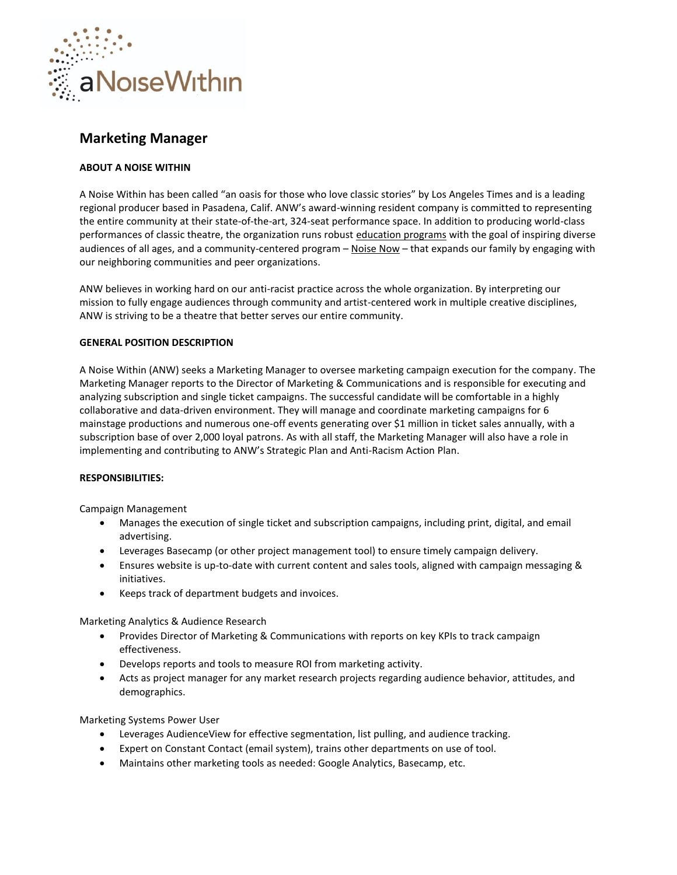

# **Marketing Manager**

## **ABOUT A NOISE WITHIN**

A Noise Within has been called "an oasis for those who love classic stories" by Los Angeles Times and is a leading regional producer based in Pasadena, Calif. ANW's award-winning resident company is committed to representing the entire community at their state-of-the-art, 324-seat performance space. In addition to producing world-class performances of classic theatre, the organization runs robust [education programs](https://www.anoisewithin.org/education/for-educators/) with the goal of inspiring diverse audiences of all ages, and a community-centered program - [Noise Now](https://www.anoisewithin.org/noise-now/) - that expands our family by engaging with our neighboring communities and peer organizations.

ANW believes in working hard on our anti-racist practice across the whole organization. By interpreting our mission to fully engage audiences through community and artist-centered work in multiple creative disciplines, ANW is striving to be a theatre that better serves our entire community.

## **GENERAL POSITION DESCRIPTION**

A Noise Within (ANW) seeks a Marketing Manager to oversee marketing campaign execution for the company. The Marketing Manager reports to the Director of Marketing & Communications and is responsible for executing and analyzing subscription and single ticket campaigns. The successful candidate will be comfortable in a highly collaborative and data-driven environment. They will manage and coordinate marketing campaigns for 6 mainstage productions and numerous one-off events generating over \$1 million in ticket sales annually, with a subscription base of over 2,000 loyal patrons. As with all staff, the Marketing Manager will also have a role in implementing and contributing to ANW's Strategic Plan and Anti-Racism Action Plan.

## **RESPONSIBILITIES:**

Campaign Management

- Manages the execution of single ticket and subscription campaigns, including print, digital, and email advertising.
- Leverages Basecamp (or other project management tool) to ensure timely campaign delivery.
- Ensures website is up-to-date with current content and sales tools, aligned with campaign messaging & initiatives.
- Keeps track of department budgets and invoices.

Marketing Analytics & Audience Research

- Provides Director of Marketing & Communications with reports on key KPIs to track campaign effectiveness.
- Develops reports and tools to measure ROI from marketing activity.
- Acts as project manager for any market research projects regarding audience behavior, attitudes, and demographics.

Marketing Systems Power User

- Leverages AudienceView for effective segmentation, list pulling, and audience tracking.
- Expert on Constant Contact (email system), trains other departments on use of tool.
- Maintains other marketing tools as needed: Google Analytics, Basecamp, etc.